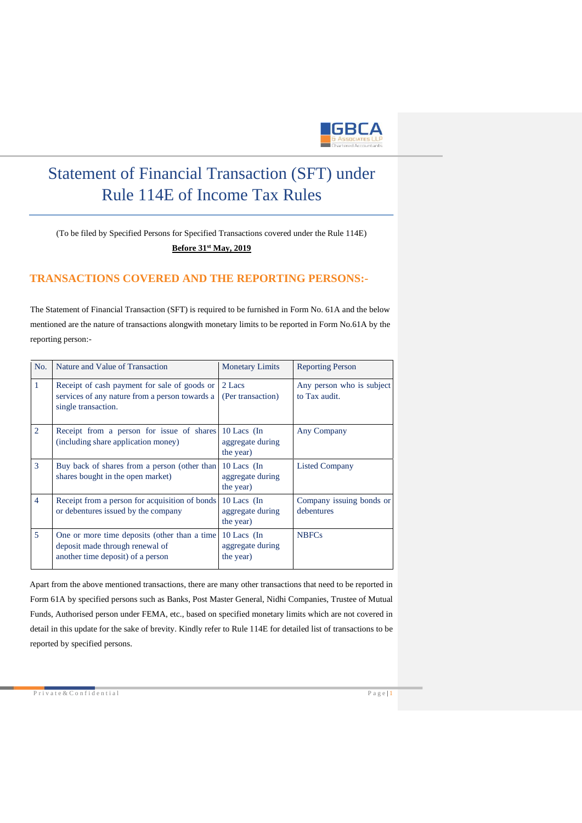

# Statement of Financial Transaction (SFT) under Rule 114E of Income Tax Rules

(To be filed by Specified Persons for Specified Transactions covered under the Rule 114E) **Before 31st May, 2019**

## **TRANSACTIONS COVERED AND THE REPORTING PERSONS:-**

The Statement of Financial Transaction (SFT) is required to be furnished in Form No. 61A and the below mentioned are the nature of transactions alongwith monetary limits to be reported in Form No.61A by the reporting person:-

| No.            | Nature and Value of Transaction                                                                                       | <b>Monetary Limits</b>                         | <b>Reporting Person</b>                    |
|----------------|-----------------------------------------------------------------------------------------------------------------------|------------------------------------------------|--------------------------------------------|
| $\mathbf{1}$   | Receipt of cash payment for sale of goods or<br>services of any nature from a person towards a<br>single transaction. | 2 Lacs<br>(Per transaction)                    | Any person who is subject<br>to Tax audit. |
| $\overline{2}$ | Receipt from a person for issue of shares<br>(including share application money)                                      | 10 Lacs $(In$<br>aggregate during<br>the year) | Any Company                                |
| 3              | Buy back of shares from a person (other than<br>shares bought in the open market)                                     | 10 Lacs (In<br>aggregate during<br>the year)   | <b>Listed Company</b>                      |
| $\overline{4}$ | Receipt from a person for acquisition of bonds<br>or debentures issued by the company                                 | 10 Lacs (In<br>aggregate during<br>the year)   | Company issuing bonds or<br>debentures     |
| 5              | One or more time deposits (other than a time<br>deposit made through renewal of<br>another time deposit) of a person  | 10 Lacs (In<br>aggregate during<br>the year)   | <b>NBFCs</b>                               |

Apart from the above mentioned transactions, there are many other transactions that need to be reported in Form 61A by specified persons such as Banks, Post Master General, Nidhi Companies, Trustee of Mutual Funds, Authorised person under FEMA, etc., based on specified monetary limits which are not covered in detail in this update for the sake of brevity. Kindly refer to Rule 114E for detailed list of transactions to be reported by specified persons.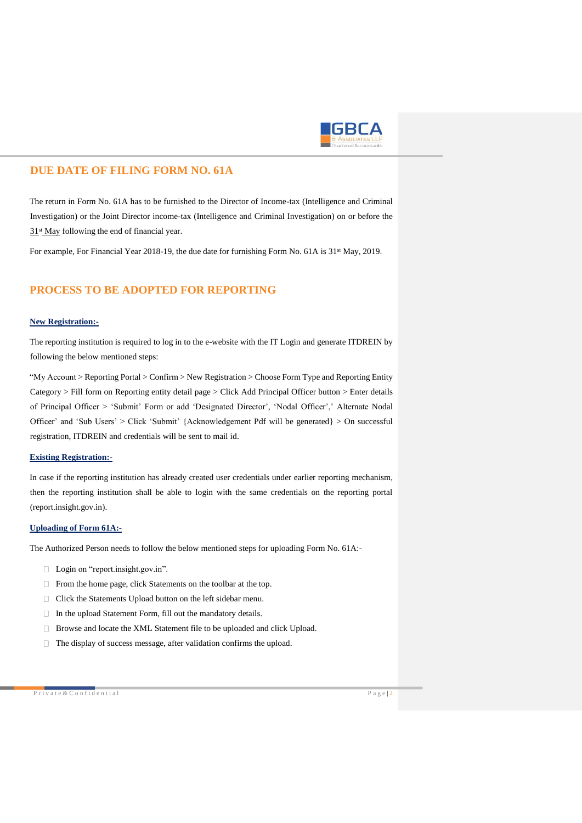

## **DUE DATE OF FILING FORM NO. 61A**

The return in Form No. 61A has to be furnished to the Director of Income-tax (Intelligence and Criminal Investigation) or the Joint Director income-tax (Intelligence and Criminal Investigation) on or before the  $31<sup>st</sup>$  May following the end of financial year.

For example, For Financial Year 2018-19, the due date for furnishing Form No. 61A is 31<sup>st</sup> May, 2019.

# **PROCESS TO BE ADOPTED FOR REPORTING**

## **New Registration:-**

The reporting institution is required to log in to the e-website with the IT Login and generate ITDREIN by following the below mentioned steps:

"My Account > Reporting Portal > Confirm > New Registration > Choose Form Type and Reporting Entity Category > Fill form on Reporting entity detail page > Click Add Principal Officer button > Enter details of Principal Officer > 'Submit' Form or add 'Designated Director', 'Nodal Officer',' Alternate Nodal Officer' and 'Sub Users' > Click 'Submit' {Acknowledgement Pdf will be generated} > On successful registration, ITDREIN and credentials will be sent to mail id.

#### **Existing Registration:-**

In case if the reporting institution has already created user credentials under earlier reporting mechanism, then the reporting institution shall be able to login with the same credentials on the reporting portal (report.insight.gov.in).

### **Uploading of Form 61A:-**

The Authorized Person needs to follow the below mentioned steps for uploading Form No. 61A:-

- □ Login on "report.insight.gov.in".
- $\Box$  From the home page, click Statements on the toolbar at the top.
- □ Click the Statements Upload button on the left sidebar menu.
- $\Box$  In the upload Statement Form, fill out the mandatory details.
- Browse and locate the XML Statement file to be uploaded and click Upload.
- $\Box$  The display of success message, after validation confirms the upload.